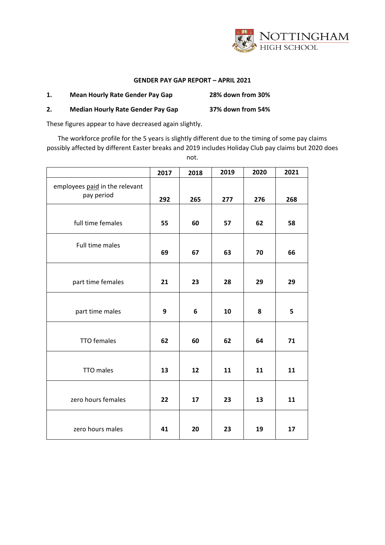

#### **GENDER PAY GAP REPORT – APRIL 2021**

**1. Mean Hourly Rate Gender Pay Gap 28% down from 30%**

# **2. Median Hourly Rate Gender Pay Gap 37% down from 54%**

These figures appear to have decreased again slightly.

The workforce profile for the 5 years is slightly different due to the timing of some pay claims possibly affected by different Easter breaks and 2019 includes Holiday Club pay claims but 2020 does not.

|                                              | 2017 | 2018 | 2019 | 2020 | 2021 |
|----------------------------------------------|------|------|------|------|------|
| employees paid in the relevant<br>pay period | 292  | 265  | 277  | 276  | 268  |
| full time females                            | 55   | 60   | 57   | 62   | 58   |
| Full time males                              | 69   | 67   | 63   | 70   | 66   |
| part time females                            | 21   | 23   | 28   | 29   | 29   |
| part time males                              | 9    | 6    | 10   | 8    | 5    |
| <b>TTO</b> females                           | 62   | 60   | 62   | 64   | 71   |
| TTO males                                    | 13   | 12   | 11   | 11   | 11   |
| zero hours females                           | 22   | 17   | 23   | 13   | 11   |
| zero hours males                             | 41   | 20   | 23   | 19   | 17   |